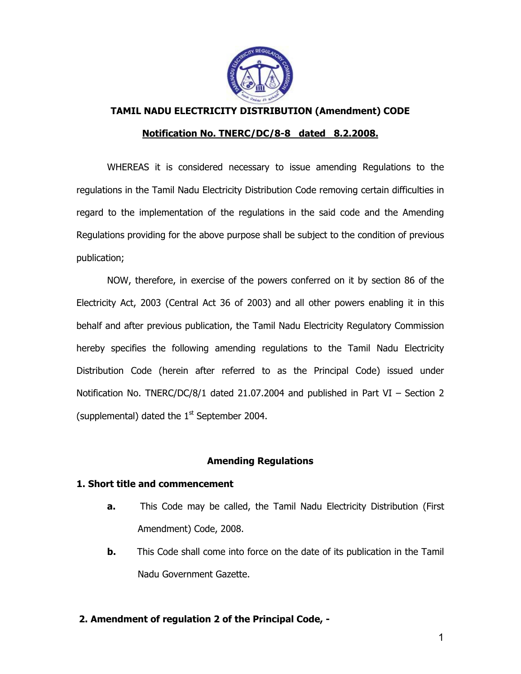

**TAMIL NADU ELECTRICITY DISTRIBUTION (Amendment) CODE** 

### **Notification No. TNERC/DC/8-8 dated 8.2.2008.**

 WHEREAS it is considered necessary to issue amending Regulations to the regulations in the Tamil Nadu Electricity Distribution Code removing certain difficulties in regard to the implementation of the regulations in the said code and the Amending Regulations providing for the above purpose shall be subject to the condition of previous publication;

 NOW, therefore, in exercise of the powers conferred on it by section 86 of the Electricity Act, 2003 (Central Act 36 of 2003) and all other powers enabling it in this behalf and after previous publication, the Tamil Nadu Electricity Regulatory Commission hereby specifies the following amending regulations to the Tamil Nadu Electricity Distribution Code (herein after referred to as the Principal Code) issued under Notification No. TNERC/DC/8/1 dated 21.07.2004 and published in Part VI – Section 2 (supplemental) dated the  $1<sup>st</sup>$  September 2004.

# **Amending Regulations**

### **1. Short title and commencement**

- **a.** This Code may be called, the Tamil Nadu Electricity Distribution (First Amendment) Code, 2008.
- **b.** This Code shall come into force on the date of its publication in the Tamil Nadu Government Gazette.

# **2. Amendment of regulation 2 of the Principal Code, -**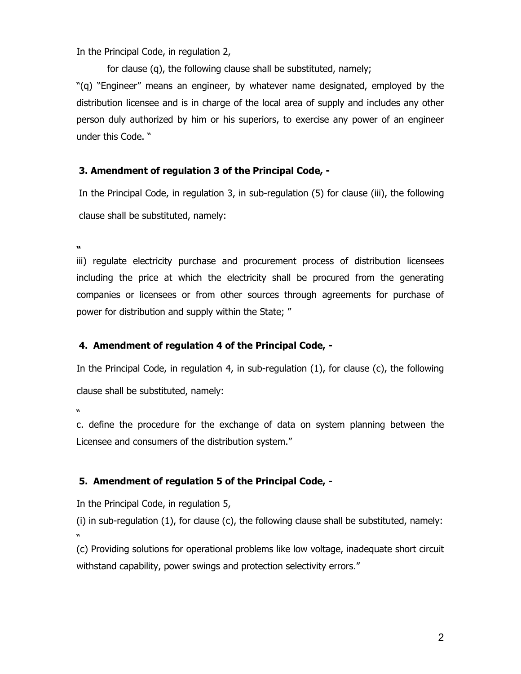In the Principal Code, in regulation 2,

for clause (q), the following clause shall be substituted, namely;

"(q) "Engineer" means an engineer, by whatever name designated, employed by the distribution licensee and is in charge of the local area of supply and includes any other person duly authorized by him or his superiors, to exercise any power of an engineer under this Code. "

# **3. Amendment of regulation 3 of the Principal Code, -**

In the Principal Code, in regulation 3, in sub-regulation (5) for clause (iii), the following clause shall be substituted, namely:

**"** 

iii) regulate electricity purchase and procurement process of distribution licensees including the price at which the electricity shall be procured from the generating companies or licensees or from other sources through agreements for purchase of power for distribution and supply within the State; "

# **4. Amendment of regulation 4 of the Principal Code, -**

In the Principal Code, in regulation 4, in sub-regulation (1), for clause (c), the following clause shall be substituted, namely:

"

c. define the procedure for the exchange of data on system planning between the Licensee and consumers of the distribution system."

### **5. Amendment of regulation 5 of the Principal Code, -**

In the Principal Code, in regulation 5,

(i) in sub-regulation (1), for clause (c), the following clause shall be substituted, namely: "

(c) Providing solutions for operational problems like low voltage, inadequate short circuit withstand capability, power swings and protection selectivity errors."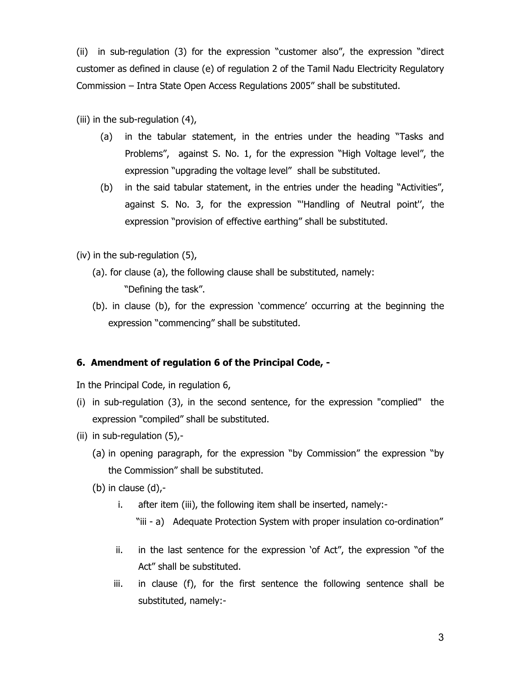(ii) in sub-regulation (3) for the expression "customer also", the expression "direct customer as defined in clause (e) of regulation 2 of the Tamil Nadu Electricity Regulatory Commission – Intra State Open Access Regulations 2005" shall be substituted.

(iii) in the sub-regulation (4),

- (a) in the tabular statement, in the entries under the heading "Tasks and Problems", against S. No. 1, for the expression "High Voltage level", the expression "upgrading the voltage level" shall be substituted.
- (b) in the said tabular statement, in the entries under the heading "Activities", against S. No. 3, for the expression "'Handling of Neutral point'', the expression "provision of effective earthing" shall be substituted.

(iv) in the sub-regulation (5),

- (a). for clause (a), the following clause shall be substituted, namely: "Defining the task".
- (b). in clause (b), for the expression 'commence' occurring at the beginning the expression "commencing" shall be substituted.

### **6. Amendment of regulation 6 of the Principal Code, -**

In the Principal Code, in regulation 6,

- (i) in sub-regulation (3), in the second sentence, for the expression "complied" the expression "compiled" shall be substituted.
- (ii) in sub-regulation (5),-
	- (a) in opening paragraph, for the expression "by Commission" the expression "by the Commission" shall be substituted.

(b) in clause  $(d)$ ,-

- i. after item (iii), the following item shall be inserted, namely:-
	- "iii a) Adequate Protection System with proper insulation co-ordination"
- ii. in the last sentence for the expression 'of Act", the expression "of the Act" shall be substituted.
- iii. in clause (f), for the first sentence the following sentence shall be substituted, namely:-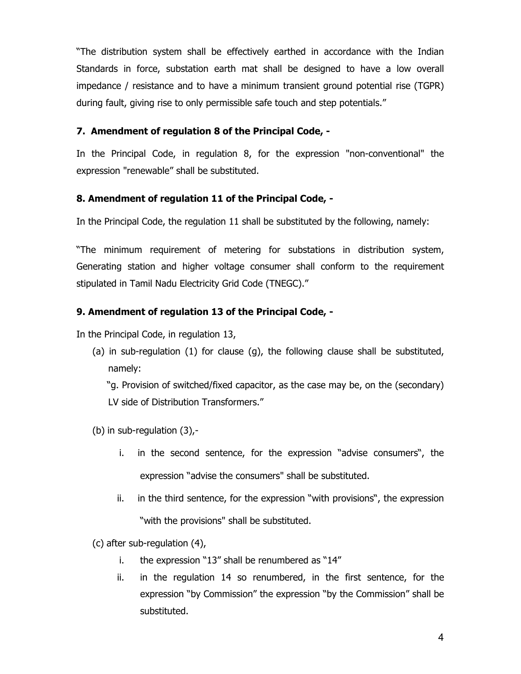"The distribution system shall be effectively earthed in accordance with the Indian Standards in force, substation earth mat shall be designed to have a low overall impedance / resistance and to have a minimum transient ground potential rise (TGPR) during fault, giving rise to only permissible safe touch and step potentials."

# **7. Amendment of regulation 8 of the Principal Code, -**

In the Principal Code, in regulation 8, for the expression "non-conventional" the expression "renewable" shall be substituted.

# **8. Amendment of regulation 11 of the Principal Code, -**

In the Principal Code, the regulation 11 shall be substituted by the following, namely:

"The minimum requirement of metering for substations in distribution system, Generating station and higher voltage consumer shall conform to the requirement stipulated in Tamil Nadu Electricity Grid Code (TNEGC)."

# **9. Amendment of regulation 13 of the Principal Code, -**

In the Principal Code, in regulation 13,

(a) in sub-regulation (1) for clause (g), the following clause shall be substituted, namely:

 "g. Provision of switched/fixed capacitor, as the case may be, on the (secondary) LV side of Distribution Transformers."

- (b) in sub-regulation (3),
	- i. in the second sentence, for the expression "advise consumers", the expression "advise the consumers" shall be substituted.
	- ii. in the third sentence, for the expression "with provisions", the expression "with the provisions" shall be substituted.
- (c) after sub-regulation (4),
	- i. the expression "13" shall be renumbered as "14"
	- ii. in the regulation 14 so renumbered, in the first sentence, for the expression "by Commission" the expression "by the Commission" shall be substituted.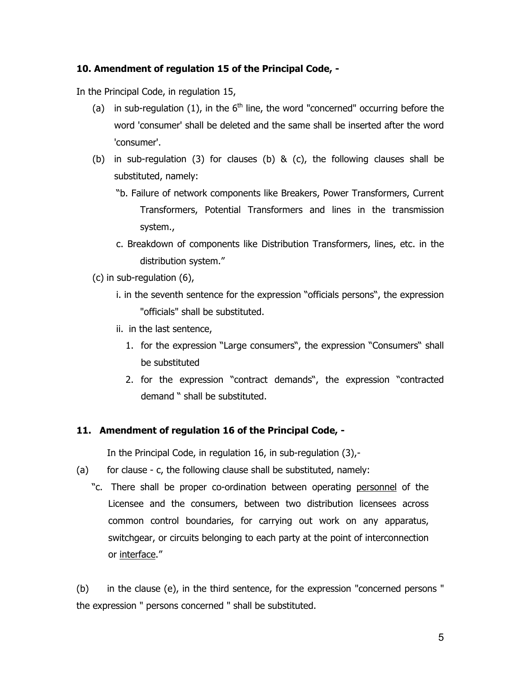## **10. Amendment of regulation 15 of the Principal Code, -**

In the Principal Code, in regulation 15,

- (a) in sub-regulation (1), in the  $6<sup>th</sup>$  line, the word "concerned" occurring before the word 'consumer' shall be deleted and the same shall be inserted after the word 'consumer'.
- (b) in sub-regulation (3) for clauses (b) & (c), the following clauses shall be substituted, namely:
	- "b. Failure of network components like Breakers, Power Transformers, Current Transformers, Potential Transformers and lines in the transmission system.,
	- c. Breakdown of components like Distribution Transformers, lines, etc. in the distribution system."
- (c) in sub-regulation (6),
	- i. in the seventh sentence for the expression "officials persons", the expression "officials" shall be substituted.
	- ii.in the last sentence,
		- 1. for the expression "Large consumers", the expression "Consumers" shall be substituted
		- 2. for the expression "contract demands", the expression "contracted demand " shall be substituted.

### **11. Amendment of regulation 16 of the Principal Code, -**

In the Principal Code, in regulation 16, in sub-regulation (3),-

- (a) for clause c, the following clause shall be substituted, namely:
	- "c. There shall be proper co-ordination between operating personnel of the Licensee and the consumers, between two distribution licensees across common control boundaries, for carrying out work on any apparatus, switchgear, or circuits belonging to each party at the point of interconnection or interface."

(b) in the clause (e), in the third sentence, for the expression "concerned persons " the expression " persons concerned " shall be substituted.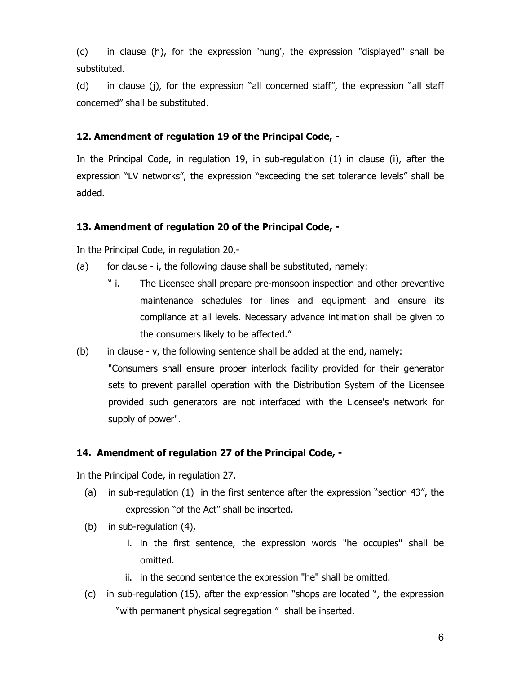(c) in clause (h), for the expression 'hung', the expression "displayed" shall be substituted.

(d) in clause (j), for the expression "all concerned staff", the expression "all staff concerned" shall be substituted.

## **12. Amendment of regulation 19 of the Principal Code, -**

In the Principal Code, in regulation 19, in sub-regulation (1) in clause (i), after the expression "LV networks", the expression "exceeding the set tolerance levels" shall be added.

## **13. Amendment of regulation 20 of the Principal Code, -**

In the Principal Code, in regulation 20,-

- (a) for clause i, the following clause shall be substituted, namely:
	- " i. The Licensee shall prepare pre-monsoon inspection and other preventive maintenance schedules for lines and equipment and ensure its compliance at all levels. Necessary advance intimation shall be given to the consumers likely to be affected."
- (b) in clause v, the following sentence shall be added at the end, namely: "Consumers shall ensure proper interlock facility provided for their generator sets to prevent parallel operation with the Distribution System of the Licensee provided such generators are not interfaced with the Licensee's network for supply of power".

# **14. Amendment of regulation 27 of the Principal Code, -**

In the Principal Code, in regulation 27,

- (a) in sub-regulation (1) in the first sentence after the expression "section 43", the expression "of the Act" shall be inserted.
- (b) in sub-regulation (4),
	- i. in the first sentence, the expression words "he occupies" shall be omitted.
	- ii. in the second sentence the expression "he" shall be omitted.
- (c) in sub-regulation (15), after the expression "shops are located ", the expression "with permanent physical segregation " shall be inserted.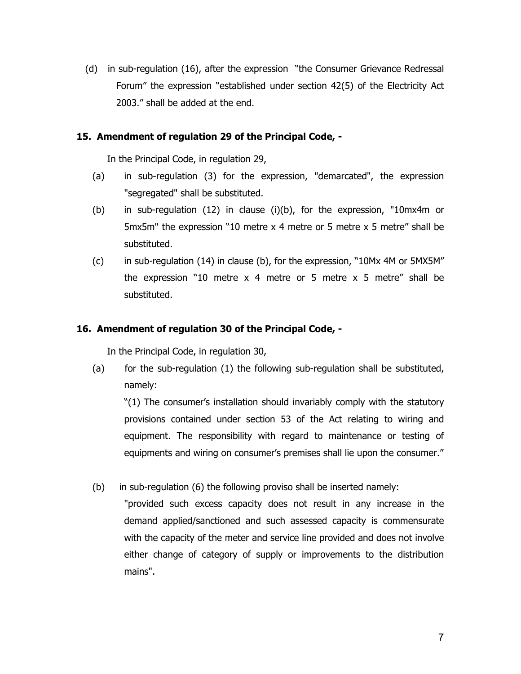(d) in sub-regulation (16), after the expression "the Consumer Grievance Redressal Forum" the expression "established under section 42(5) of the Electricity Act 2003." shall be added at the end.

## **15. Amendment of regulation 29 of the Principal Code, -**

In the Principal Code, in regulation 29,

- (a) in sub-regulation (3) for the expression, "demarcated", the expression "segregated" shall be substituted.
- (b) in sub-regulation (12) in clause (i)(b), for the expression, "10mx4m or 5mx5m" the expression "10 metre x 4 metre or 5 metre x 5 metre" shall be substituted.
- (c) in sub-regulation (14) in clause (b), for the expression, "10Mx 4M or 5MX5M" the expression "10 metre  $x$  4 metre or 5 metre  $x$  5 metre" shall be substituted.

## **16. Amendment of regulation 30 of the Principal Code, -**

In the Principal Code, in regulation 30,

(a) for the sub-regulation (1) the following sub-regulation shall be substituted, namely:

"(1) The consumer's installation should invariably comply with the statutory provisions contained under section 53 of the Act relating to wiring and equipment. The responsibility with regard to maintenance or testing of equipments and wiring on consumer's premises shall lie upon the consumer."

(b) in sub-regulation (6) the following proviso shall be inserted namely:

"provided such excess capacity does not result in any increase in the demand applied/sanctioned and such assessed capacity is commensurate with the capacity of the meter and service line provided and does not involve either change of category of supply or improvements to the distribution mains".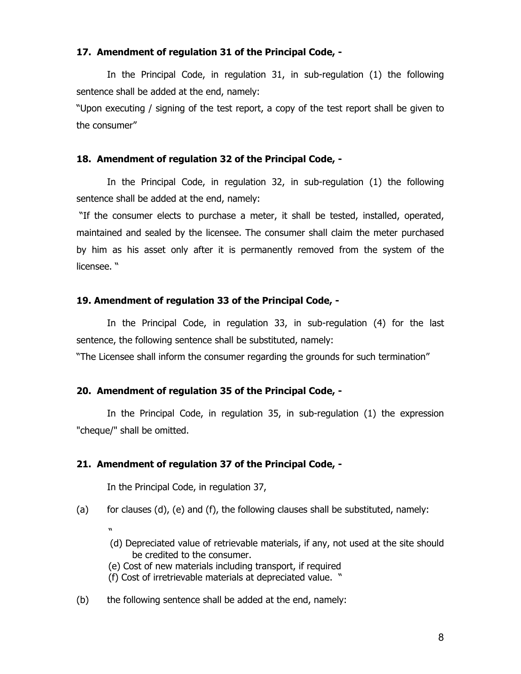#### **17. Amendment of regulation 31 of the Principal Code, -**

 In the Principal Code, in regulation 31, in sub-regulation (1) the following sentence shall be added at the end, namely:

"Upon executing / signing of the test report, a copy of the test report shall be given to the consumer"

#### **18. Amendment of regulation 32 of the Principal Code, -**

 In the Principal Code, in regulation 32, in sub-regulation (1) the following sentence shall be added at the end, namely:

 "If the consumer elects to purchase a meter, it shall be tested, installed, operated, maintained and sealed by the licensee. The consumer shall claim the meter purchased by him as his asset only after it is permanently removed from the system of the licensee. "

#### **19. Amendment of regulation 33 of the Principal Code, -**

 In the Principal Code, in regulation 33, in sub-regulation (4) for the last sentence, the following sentence shall be substituted, namely:

"The Licensee shall inform the consumer regarding the grounds for such termination"

#### **20. Amendment of regulation 35 of the Principal Code, -**

 In the Principal Code, in regulation 35, in sub-regulation (1) the expression "cheque/" shall be omitted.

#### **21. Amendment of regulation 37 of the Principal Code, -**

In the Principal Code, in regulation 37,

- (a) for clauses  $(d)$ ,  $(e)$  and  $(f)$ , the following clauses shall be substituted, namely:
- " (d) Depreciated value of retrievable materials, if any, not used at the site should be credited to the consumer.
	- (e) Cost of new materials including transport, if required
	- (f) Cost of irretrievable materials at depreciated value. "
- (b) the following sentence shall be added at the end, namely: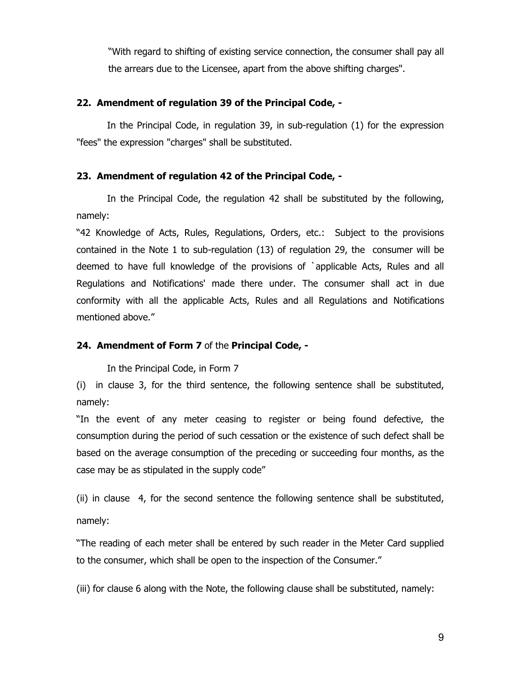"With regard to shifting of existing service connection, the consumer shall pay all the arrears due to the Licensee, apart from the above shifting charges".

### **22. Amendment of regulation 39 of the Principal Code, -**

 In the Principal Code, in regulation 39, in sub-regulation (1) for the expression "fees" the expression "charges" shall be substituted.

#### **23. Amendment of regulation 42 of the Principal Code, -**

 In the Principal Code, the regulation 42 shall be substituted by the following, namely:

"42 Knowledge of Acts, Rules, Regulations, Orders, etc.: Subject to the provisions contained in the Note 1 to sub-regulation (13) of regulation 29, the consumer will be deemed to have full knowledge of the provisions of `applicable Acts, Rules and all Regulations and Notifications' made there under. The consumer shall act in due conformity with all the applicable Acts, Rules and all Regulations and Notifications mentioned above."

#### **24. Amendment of Form 7** of the **Principal Code, -**

In the Principal Code, in Form 7

(i) in clause 3, for the third sentence, the following sentence shall be substituted, namely:

"In the event of any meter ceasing to register or being found defective, the consumption during the period of such cessation or the existence of such defect shall be based on the average consumption of the preceding or succeeding four months, as the case may be as stipulated in the supply code"

(ii) in clause 4, for the second sentence the following sentence shall be substituted, namely:

"The reading of each meter shall be entered by such reader in the Meter Card supplied to the consumer, which shall be open to the inspection of the Consumer."

(iii) for clause 6 along with the Note, the following clause shall be substituted, namely: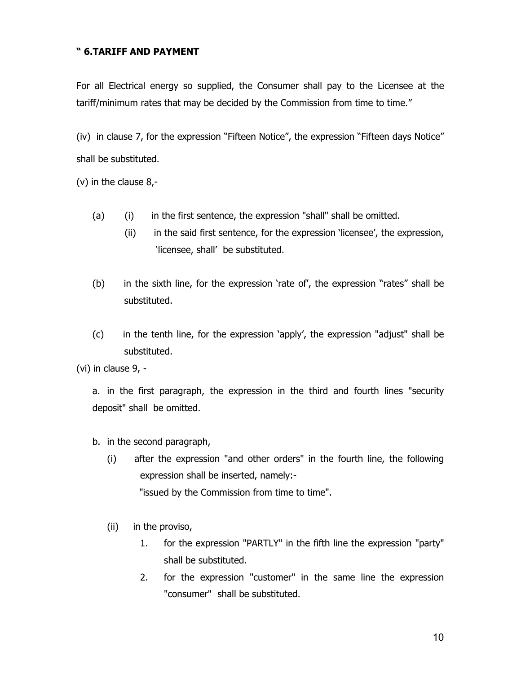# **" 6.TARIFF AND PAYMENT**

For all Electrical energy so supplied, the Consumer shall pay to the Licensee at the tariff/minimum rates that may be decided by the Commission from time to time."

(iv) in clause 7, for the expression "Fifteen Notice", the expression "Fifteen days Notice" shall be substituted.

(v) in the clause 8,-

- (a) (i) in the first sentence, the expression "shall" shall be omitted.
	- (ii) in the said first sentence, for the expression 'licensee', the expression, 'licensee, shall' be substituted.
- (b) in the sixth line, for the expression 'rate of', the expression "rates" shall be substituted.
- (c) in the tenth line, for the expression 'apply', the expression "adjust" shall be substituted.

(vi) in clause 9, -

a. in the first paragraph, the expression in the third and fourth lines "security deposit" shall be omitted.

b. in the second paragraph,

- (i) after the expression "and other orders" in the fourth line, the following expression shall be inserted, namely:- "issued by the Commission from time to time".
- (ii) in the proviso,
	- 1. for the expression "PARTLY" in the fifth line the expression "party" shall be substituted.
	- 2. for the expression "customer" in the same line the expression "consumer" shall be substituted.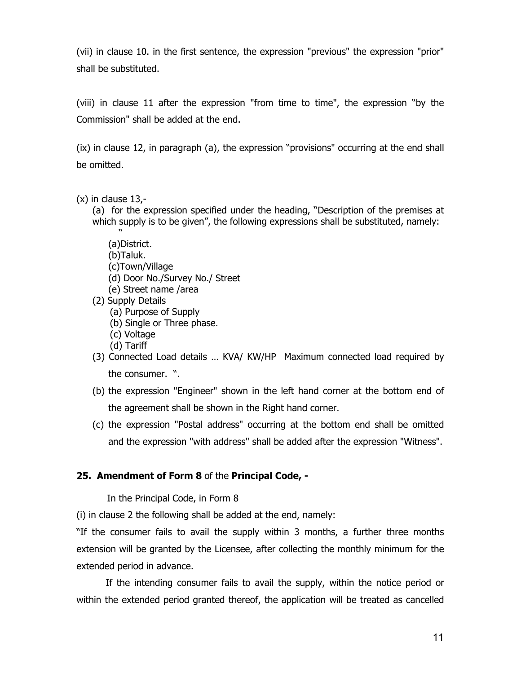(vii) in clause 10. in the first sentence, the expression "previous" the expression "prior" shall be substituted.

(viii) in clause 11 after the expression "from time to time", the expression "by the Commission" shall be added at the end.

(ix) in clause 12, in paragraph (a), the expression "provisions" occurring at the end shall be omitted.

- $(x)$  in clause 13,-
	- (a) for the expression specified under the heading, "Description of the premises at which supply is to be given", the following expressions shall be substituted, namely:

 " (a)District.

- (b)Taluk.
- (c)Town/Village
- (d) Door No./Survey No./ Street
- (e) Street name /area
- (2) Supply Details
	- (a) Purpose of Supply
	- (b) Single or Three phase.
	- (c) Voltage
	- (d) Tariff
- (3) Connected Load details … KVA/ KW/HP Maximum connected load required by the consumer. ".
- (b) the expression "Engineer" shown in the left hand corner at the bottom end of the agreement shall be shown in the Right hand corner.
- (c) the expression "Postal address" occurring at the bottom end shall be omitted and the expression "with address" shall be added after the expression "Witness".

# **25. Amendment of Form 8** of the **Principal Code, -**

In the Principal Code, in Form 8

(i) in clause 2 the following shall be added at the end, namely:

"If the consumer fails to avail the supply within 3 months, a further three months extension will be granted by the Licensee, after collecting the monthly minimum for the extended period in advance.

 If the intending consumer fails to avail the supply, within the notice period or within the extended period granted thereof, the application will be treated as cancelled